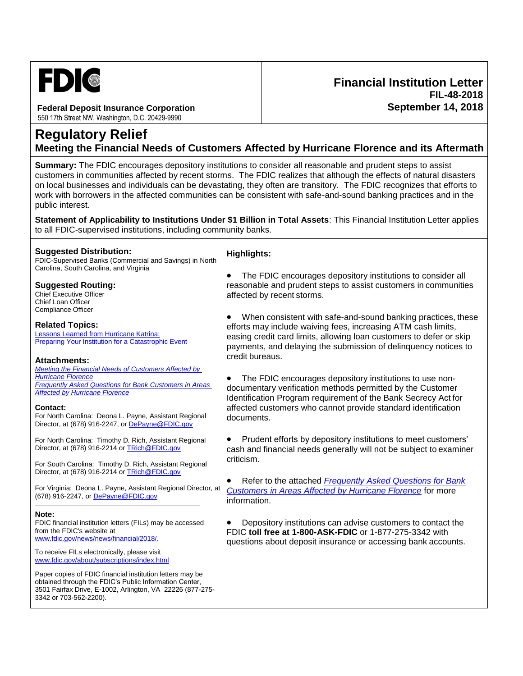

#### **Federal Deposit Insurance Corporation**

550 17th Street NW, Washington, D.C. 20429-9990

# **Regulatory Relief Meeting the Financial Needs of Customers Affected by Hurricane Florence and its Aftermath**

**Financial Institution Letter**

**FIL-48-2018**

**September 14, 2018**

**Summary:** The FDIC encourages depository institutions to consider all reasonable and prudent steps to assist customers in communities affected by recent storms. The FDIC realizes that although the effects of natural disasters on local businesses and individuals can be devastating, they often are transitory. The FDIC recognizes that efforts to work with borrowers in the affected communities can be consistent with safe-and-sound banking practices and in the public interest.

**Statement of Applicability to Institutions Under \$1 Billion in Total Assets**: This Financial Institution Letter applies to all FDIC-supervised institutions, including community banks.

| reasonable and prudent steps to assist customers in communities<br>When consistent with safe-and-sound banking practices, these<br>payments, and delaying the submission of delinguency notices to |
|----------------------------------------------------------------------------------------------------------------------------------------------------------------------------------------------------|
|                                                                                                                                                                                                    |
| cash and financial needs generally will not be subject to examiner                                                                                                                                 |
|                                                                                                                                                                                                    |
|                                                                                                                                                                                                    |
|                                                                                                                                                                                                    |
|                                                                                                                                                                                                    |
|                                                                                                                                                                                                    |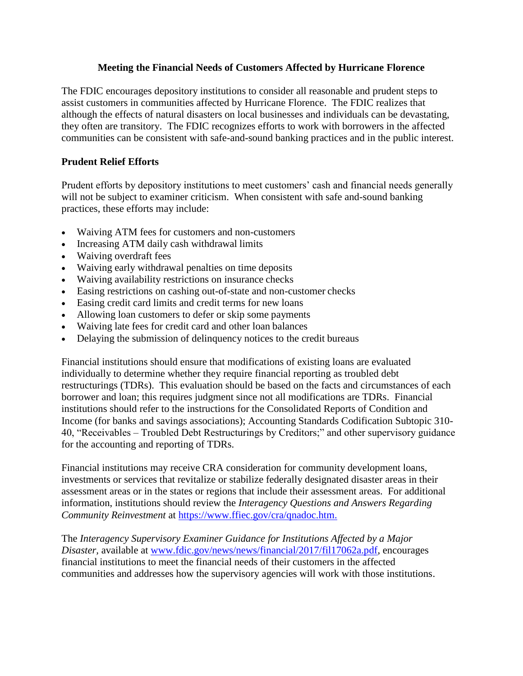### **Meeting the Financial Needs of Customers Affected by Hurricane Florence**

The FDIC encourages depository institutions to consider all reasonable and prudent steps to assist customers in communities affected by Hurricane Florence. The FDIC realizes that although the effects of natural disasters on local businesses and individuals can be devastating, they often are transitory. The FDIC recognizes efforts to work with borrowers in the affected communities can be consistent with safe-and-sound banking practices and in the public interest.

#### **Prudent Relief Efforts**

Prudent efforts by depository institutions to meet customers' cash and financial needs generally will not be subject to examiner criticism. When consistent with safe and-sound banking practices, these efforts may include:

- Waiving ATM fees for customers and non-customers
- Increasing ATM daily cash withdrawal limits
- Waiving overdraft fees
- Waiving early withdrawal penalties on time deposits
- Waiving availability restrictions on insurance checks
- Easing restrictions on cashing out-of-state and non-customer checks
- Easing credit card limits and credit terms for new loans
- Allowing loan customers to defer or skip some payments
- Waiving late fees for credit card and other loan balances
- Delaying the submission of delinquency notices to the credit bureaus

Financial institutions should ensure that modifications of existing loans are evaluated individually to determine whether they require financial reporting as troubled debt restructurings (TDRs). This evaluation should be based on the facts and circumstances of each borrower and loan; this requires judgment since not all modifications are TDRs. Financial institutions should refer to the instructions for the Consolidated Reports of Condition and Income (for banks and savings associations); Accounting Standards Codification Subtopic 310- 40, "Receivables – Troubled Debt Restructurings by Creditors;" and other supervisory guidance for the accounting and reporting of TDRs.

Financial institutions may receive CRA consideration for community development loans, investments or services that revitalize or stabilize federally designated disaster areas in their assessment areas or in the states or regions that include their assessment areas. For additional information, institutions should review the *Interagency Questions and Answers Regarding Community Reinvestment* at [https://www.ffiec.gov/cra/qnadoc.htm.](https://www.ffiec.gov/cra/qnadoc.htm)

The *Interagency Supervisory Examiner Guidance for Institutions Affected by a Major Disaster,* available at [www.fdic.gov/news/news/financial/2017/fil17062a.pdf,](https://www.fdic.gov/news/news/financial/2017/fil17062a.pdf) encourages financial institutions to meet the financial needs of their customers in the affected communities and addresses how the supervisory agencies will work with those institutions.